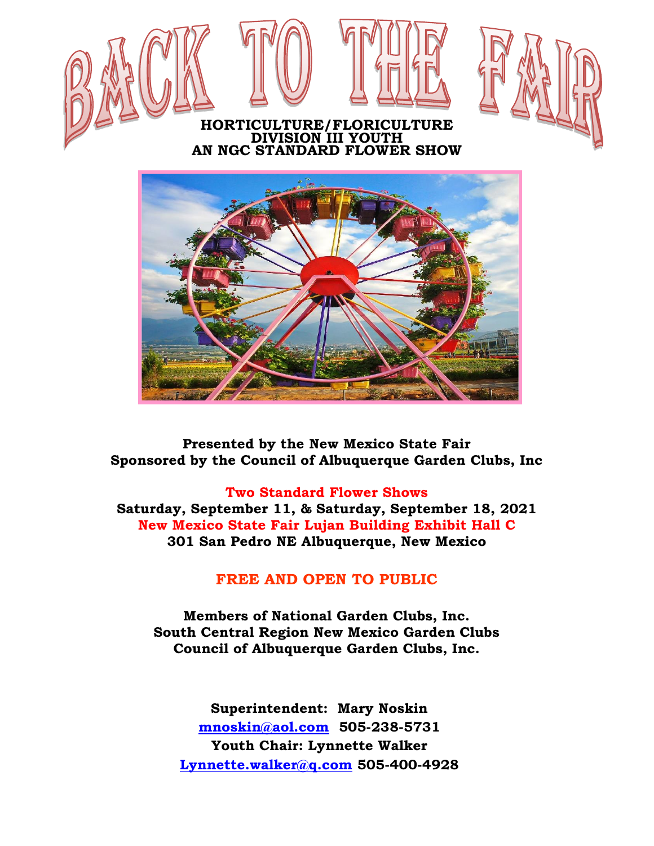

**Presented by the New Mexico State Fair Sponsored by the Council of Albuquerque Garden Clubs, Inc**

#### **Two Standard Flower Shows**

**Saturday, September 11, & Saturday, September 18, 2021 New Mexico State Fair Lujan Building Exhibit Hall C 301 San Pedro NE Albuquerque, New Mexico**

### **FREE AND OPEN TO PUBLIC**

**Members of National Garden Clubs, Inc. South Central Region New Mexico Garden Clubs Council of Albuquerque Garden Clubs, Inc.**

**Superintendent: Mary Noskin [mnoskin@aol.com](mailto:mnoskin@aol.com) 505-238-5731 Youth Chair: Lynnette Walker [Lynnette.walker@q.com](mailto:Lynnette.walker@q.com) 505-400-4928**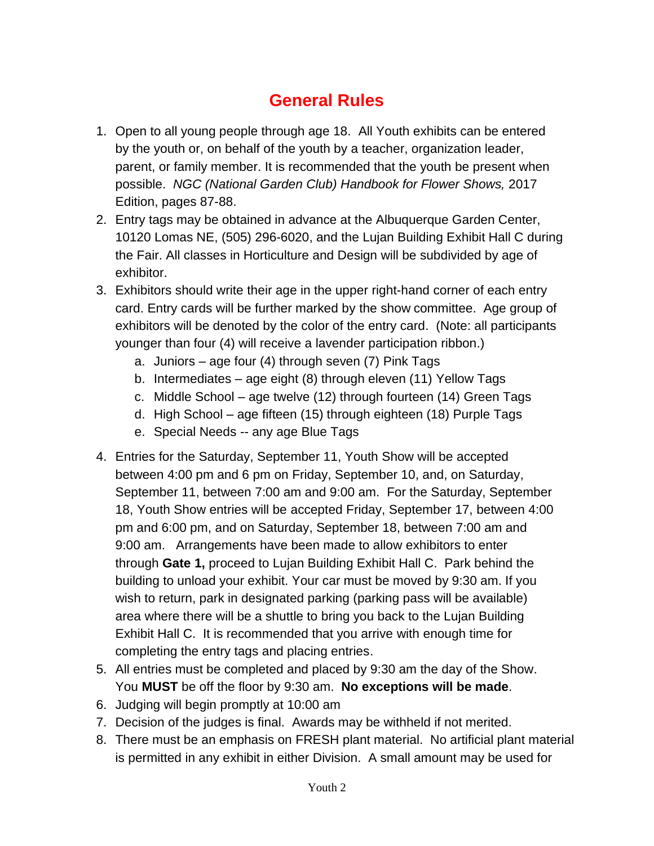# **General Rules**

- 1. Open to all young people through age 18. All Youth exhibits can be entered by the youth or, on behalf of the youth by a teacher, organization leader, parent, or family member. It is recommended that the youth be present when possible. *NGC (National Garden Club) Handbook for Flower Shows,* 2017 Edition, pages 87-88.
- 2. Entry tags may be obtained in advance at the Albuquerque Garden Center, 10120 Lomas NE, (505) 296-6020, and the Lujan Building Exhibit Hall C during the Fair. All classes in Horticulture and Design will be subdivided by age of exhibitor.
- 3. Exhibitors should write their age in the upper right-hand corner of each entry card. Entry cards will be further marked by the show committee. Age group of exhibitors will be denoted by the color of the entry card. (Note: all participants younger than four (4) will receive a lavender participation ribbon.)
	- a. Juniors age four (4) through seven (7) Pink Tags
	- b. Intermediates age eight (8) through eleven (11) Yellow Tags
	- c. Middle School age twelve (12) through fourteen (14) Green Tags
	- d. High School age fifteen (15) through eighteen (18) Purple Tags
	- e. Special Needs -- any age Blue Tags
- 4. Entries for the Saturday, September 11, Youth Show will be accepted between 4:00 pm and 6 pm on Friday, September 10, and, on Saturday, September 11, between 7:00 am and 9:00 am. For the Saturday, September 18, Youth Show entries will be accepted Friday, September 17, between 4:00 pm and 6:00 pm, and on Saturday, September 18, between 7:00 am and 9:00 am. Arrangements have been made to allow exhibitors to enter through **Gate 1,** proceed to Lujan Building Exhibit Hall C. Park behind the building to unload your exhibit. Your car must be moved by 9:30 am. If you wish to return, park in designated parking (parking pass will be available) area where there will be a shuttle to bring you back to the Lujan Building Exhibit Hall C. It is recommended that you arrive with enough time for completing the entry tags and placing entries.
- 5. All entries must be completed and placed by 9:30 am the day of the Show. You **MUST** be off the floor by 9:30 am. **No exceptions will be made**.
- 6. Judging will begin promptly at 10:00 am
- 7. Decision of the judges is final. Awards may be withheld if not merited.
- 8. There must be an emphasis on FRESH plant material. No artificial plant material is permitted in any exhibit in either Division. A small amount may be used for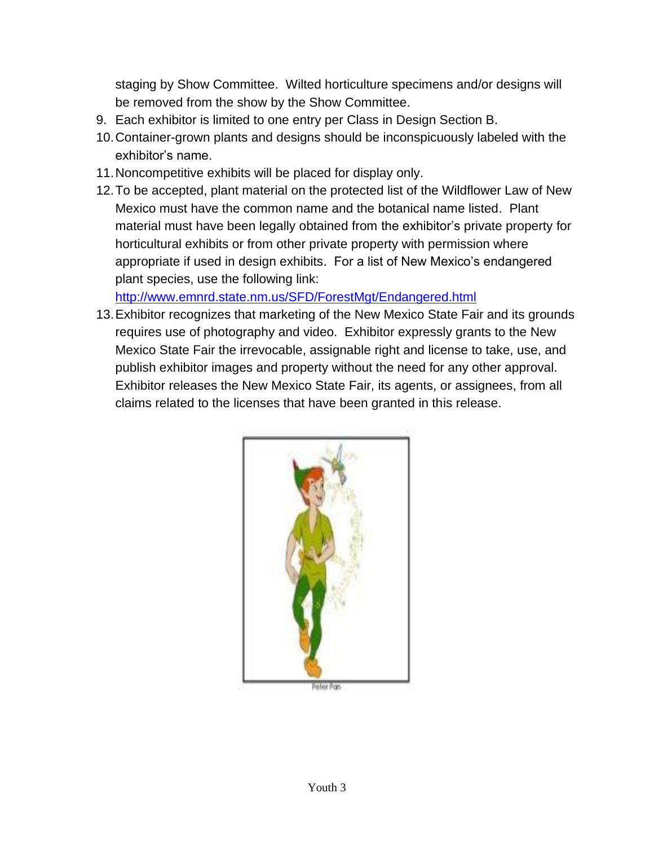staging by Show Committee. Wilted horticulture specimens and/or designs will be removed from the show by the Show Committee.

- 9. Each exhibitor is limited to one entry per Class in Design Section B.
- 10.Container-grown plants and designs should be inconspicuously labeled with the exhibitor's name.
- 11.Noncompetitive exhibits will be placed for display only.
- 12.To be accepted, plant material on the protected list of the Wildflower Law of New Mexico must have the common name and the botanical name listed. Plant material must have been legally obtained from the exhibitor's private property for horticultural exhibits or from other private property with permission where appropriate if used in design exhibits. For a list of New Mexico's endangered plant species, use the following link:

<http://www.emnrd.state.nm.us/SFD/ForestMgt/Endangered.html>

13.Exhibitor recognizes that marketing of the New Mexico State Fair and its grounds requires use of photography and video. Exhibitor expressly grants to the New Mexico State Fair the irrevocable, assignable right and license to take, use, and publish exhibitor images and property without the need for any other approval. Exhibitor releases the New Mexico State Fair, its agents, or assignees, from all claims related to the licenses that have been granted in this release.



hiur (Fran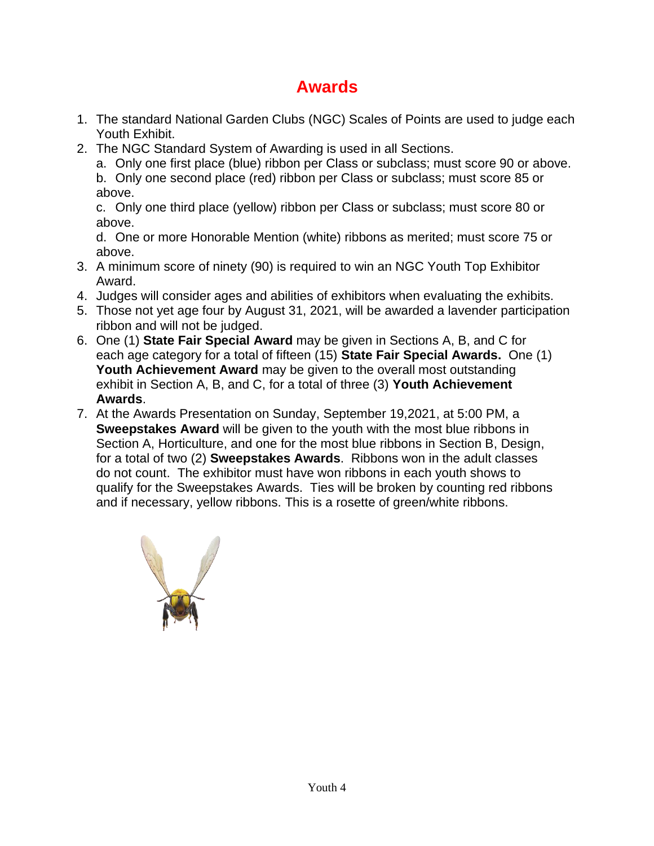## **Awards**

- 1. The standard National Garden Clubs (NGC) Scales of Points are used to judge each Youth Exhibit.
- 2. The NGC Standard System of Awarding is used in all Sections.

a. Only one first place (blue) ribbon per Class or subclass; must score 90 or above.

b. Only one second place (red) ribbon per Class or subclass; must score 85 or above.

c. Only one third place (yellow) ribbon per Class or subclass; must score 80 or above.

d. One or more Honorable Mention (white) ribbons as merited; must score 75 or above.

- 3. A minimum score of ninety (90) is required to win an NGC Youth Top Exhibitor Award.
- 4. Judges will consider ages and abilities of exhibitors when evaluating the exhibits.
- 5. Those not yet age four by August 31, 2021, will be awarded a lavender participation ribbon and will not be judged.
- 6. One (1) **State Fair Special Award** may be given in Sections A, B, and C for each age category for a total of fifteen (15) **State Fair Special Awards.** One (1) **Youth Achievement Award** may be given to the overall most outstanding exhibit in Section A, B, and C, for a total of three (3) **Youth Achievement Awards**.
- 7. At the Awards Presentation on Sunday, September 19,2021, at 5:00 PM, a **Sweepstakes Award** will be given to the youth with the most blue ribbons in Section A, Horticulture, and one for the most blue ribbons in Section B, Design, for a total of two (2) **Sweepstakes Awards**. Ribbons won in the adult classes do not count. The exhibitor must have won ribbons in each youth shows to qualify for the Sweepstakes Awards. Ties will be broken by counting red ribbons and if necessary, yellow ribbons. This is a rosette of green/white ribbons.

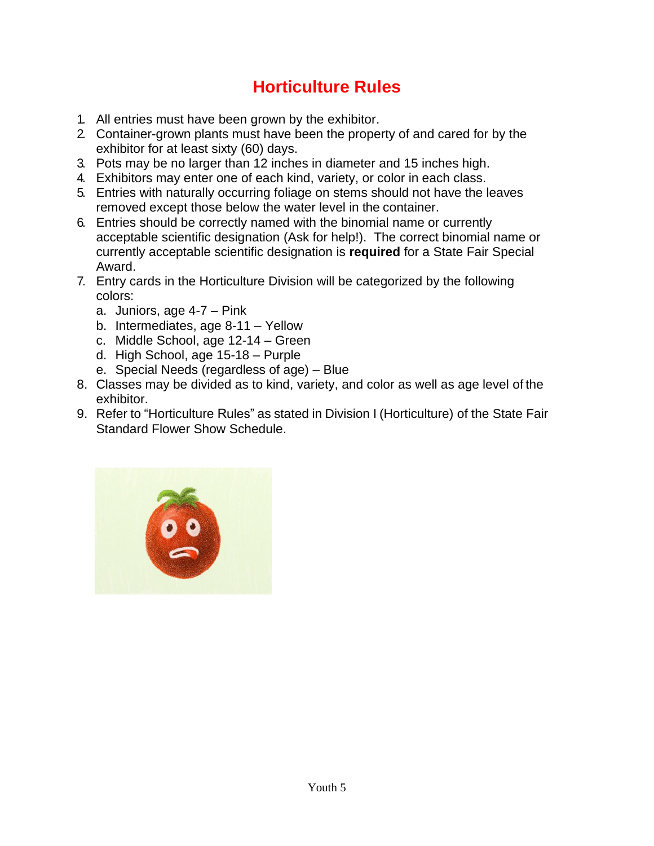# **Horticulture Rules**

- 1. All entries must have been grown by the exhibitor.
- 2. Container-grown plants must have been the property of and cared for by the exhibitor for at least sixty (60) days.
- 3. Pots may be no larger than 12 inches in diameter and 15 inches high.
- 4. Exhibitors may enter one of each kind, variety, or color in each class.
- 5. Entries with naturally occurring foliage on stems should not have the leaves removed except those below the water level in the container.
- 6. Entries should be correctly named with the binomial name or currently acceptable scientific designation (Ask for help!). The correct binomial name or currently acceptable scientific designation is **required** for a State Fair Special Award.
- 7. Entry cards in the Horticulture Division will be categorized by the following colors:
	- a. Juniors, age 4-7 Pink
	- b. Intermediates, age 8-11 Yellow
	- c. Middle School, age 12-14 Green
	- d. High School, age 15-18 Purple
	- e. Special Needs (regardless of age) Blue
- 8. Classes may be divided as to kind, variety, and color as well as age level of the exhibitor.
- 9. Refer to "Horticulture Rules" as stated in Division I (Horticulture) of the State Fair Standard Flower Show Schedule.

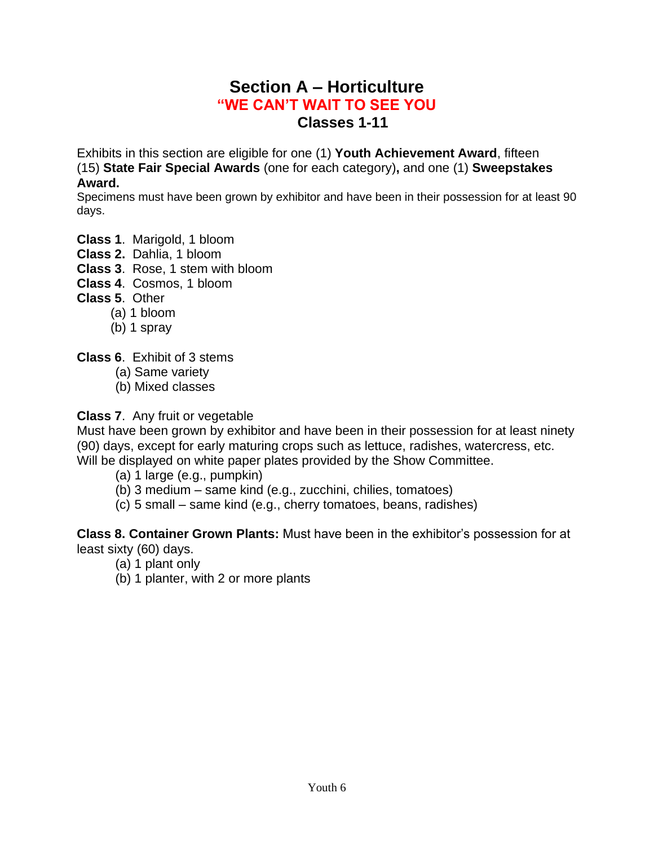### **Section A – Horticulture "WE CAN'T WAIT TO SEE YOU Classes 1-11**

Exhibits in this section are eligible for one (1) **Youth Achievement Award**, fifteen (15) **State Fair Special Awards** (one for each category)**,** and one (1) **Sweepstakes Award.**

Specimens must have been grown by exhibitor and have been in their possession for at least 90 days.

- **Class 1**. Marigold, 1 bloom
- **Class 2.** Dahlia, 1 bloom
- **Class 3**. Rose, 1 stem with bloom
- **Class 4**. Cosmos, 1 bloom
- **Class 5**. Other
	- (a) 1 bloom
		- (b) 1 spray

**Class 6**. Exhibit of 3 stems

- (a) Same variety
- (b) Mixed classes

#### **Class 7**. Any fruit or vegetable

Must have been grown by exhibitor and have been in their possession for at least ninety (90) days, except for early maturing crops such as lettuce, radishes, watercress, etc. Will be displayed on white paper plates provided by the Show Committee.

- (a) 1 large (e.g., pumpkin)
- (b) 3 medium same kind (e.g., zucchini, chilies, tomatoes)
- (c) 5 small same kind (e.g., cherry tomatoes, beans, radishes)

**Class 8. Container Grown Plants:** Must have been in the exhibitor's possession for at least sixty (60) days.

- (a) 1 plant only
- (b) 1 planter, with 2 or more plants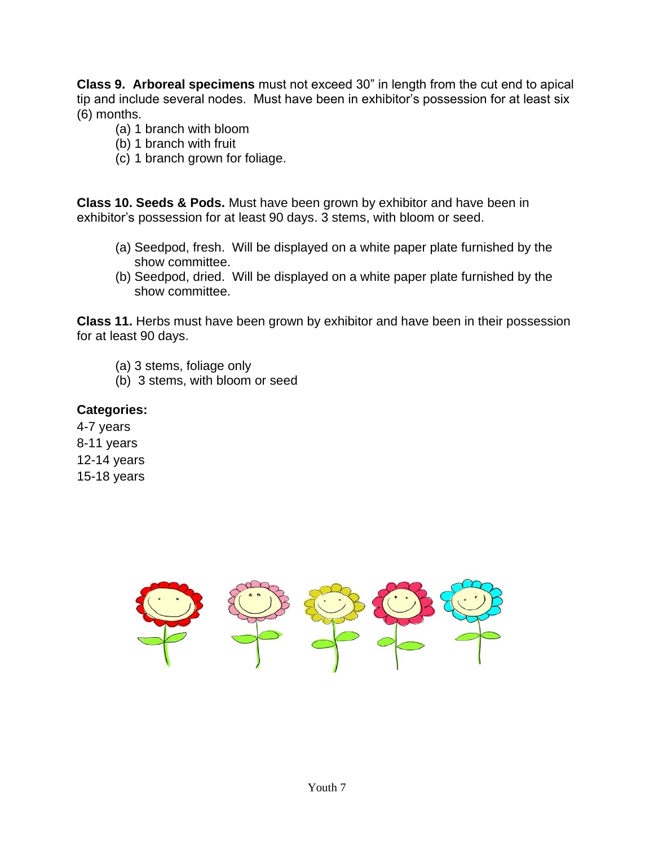**Class 9. Arboreal specimens** must not exceed 30" in length from the cut end to apical tip and include several nodes. Must have been in exhibitor's possession for at least six (6) months.

- (a) 1 branch with bloom
- (b) 1 branch with fruit
- (c) 1 branch grown for foliage.

**Class 10. Seeds & Pods.** Must have been grown by exhibitor and have been in exhibitor's possession for at least 90 days. 3 stems, with bloom or seed.

- (a) Seedpod, fresh. Will be displayed on a white paper plate furnished by the show committee.
- (b) Seedpod, dried. Will be displayed on a white paper plate furnished by the show committee.

**Class 11.** Herbs must have been grown by exhibitor and have been in their possession for at least 90 days.

- (a) 3 stems, foliage only
- (b) 3 stems, with bloom or seed

#### **Categories:**

4-7 years 8-11 years 12-14 years 15-18 years

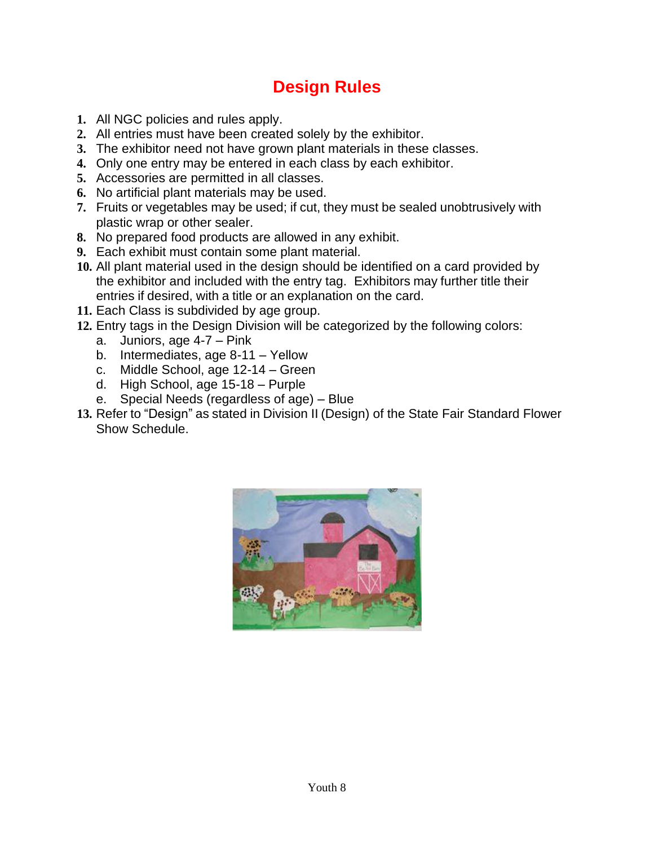# **Design Rules**

- **1.** All NGC policies and rules apply.
- **2.** All entries must have been created solely by the exhibitor.
- **3.** The exhibitor need not have grown plant materials in these classes.
- **4.** Only one entry may be entered in each class by each exhibitor.
- **5.** Accessories are permitted in all classes.
- **6.** No artificial plant materials may be used.
- **7.** Fruits or vegetables may be used; if cut, they must be sealed unobtrusively with plastic wrap or other sealer.
- **8.** No prepared food products are allowed in any exhibit.
- **9.** Each exhibit must contain some plant material.
- **10.** All plant material used in the design should be identified on a card provided by the exhibitor and included with the entry tag. Exhibitors may further title their entries if desired, with a title or an explanation on the card.
- **11.** Each Class is subdivided by age group.
- **12.** Entry tags in the Design Division will be categorized by the following colors:
	- a. Juniors, age 4-7 Pink
	- b. Intermediates, age 8-11 Yellow
	- c. Middle School, age 12-14 Green
	- d. High School, age 15-18 Purple
	- e. Special Needs (regardless of age) Blue
- **13.** Refer to "Design" as stated in Division II (Design) of the State Fair Standard Flower Show Schedule.

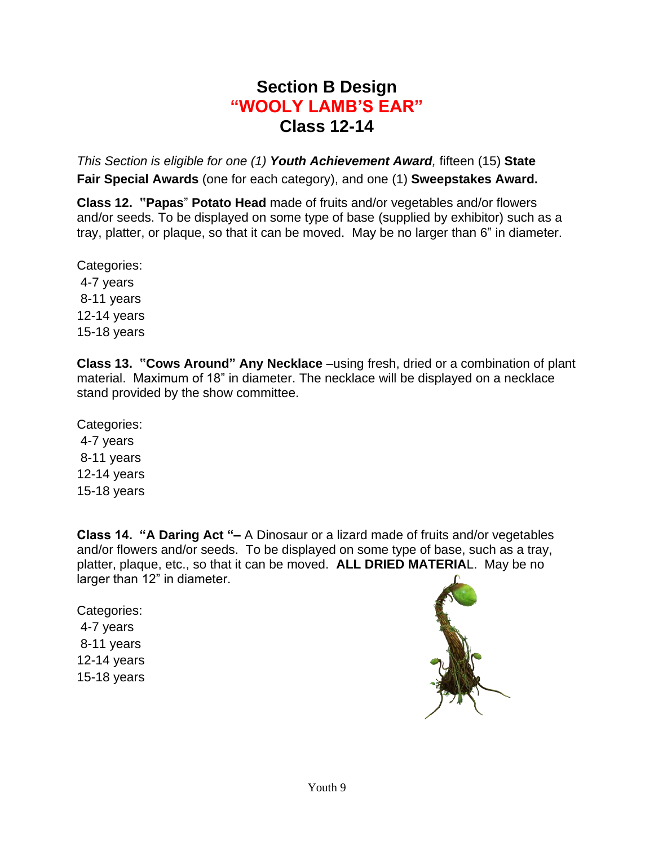### **Section B Design "WOOLY LAMB'S EAR" Class 12-14**

*This Section is eligible for one (1) Youth Achievement Award,* fifteen (15) **State Fair Special Awards** (one for each category), and one (1) **Sweepstakes Award.**

**Class 12. "Papas**" **Potato Head** made of fruits and/or vegetables and/or flowers and/or seeds. To be displayed on some type of base (supplied by exhibitor) such as a tray, platter, or plaque, so that it can be moved. May be no larger than 6" in diameter.

Categories: 4-7 years 8-11 years 12-14 years 15-18 years

**Class 13. "Cows Around" Any Necklace** –using fresh, dried or a combination of plant material. Maximum of 18" in diameter. The necklace will be displayed on a necklace stand provided by the show committee.

Categories: 4-7 years 8-11 years 12-14 years 15-18 years

**Class 14. "A Daring Act "–** A Dinosaur or a lizard made of fruits and/or vegetables and/or flowers and/or seeds. To be displayed on some type of base, such as a tray, platter, plaque, etc., so that it can be moved. **ALL DRIED MATERIA**L. May be no larger than 12" in diameter.

Categories: 4-7 years 8-11 years 12-14 years 15-18 years